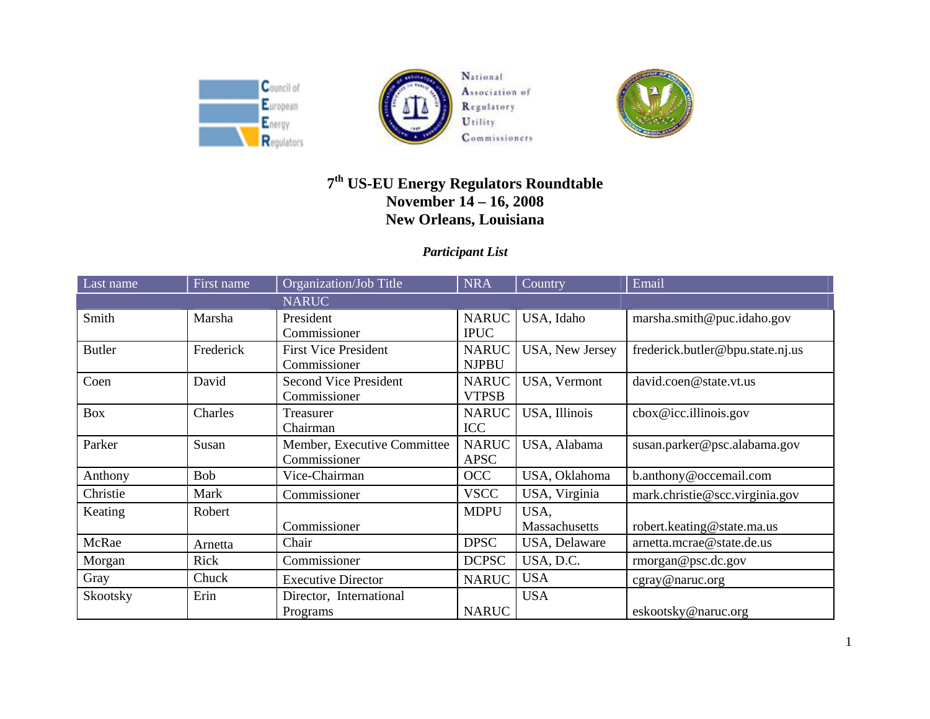





## **<sup>7</sup>th US-EU Energy Regulators Roundtable November 14 – 16, 2008 New Orleans, Louisiana**

## *Participant List*

| Last name     | First name | Organization/Job Title       | <b>NRA</b>   | Country         | Email                            |
|---------------|------------|------------------------------|--------------|-----------------|----------------------------------|
|               |            | <b>NARUC</b>                 |              |                 |                                  |
| Smith         | Marsha     | President                    | <b>NARUC</b> | USA, Idaho      | marsha.smith@puc.idaho.gov       |
|               |            | Commissioner                 | <b>IPUC</b>  |                 |                                  |
| <b>Butler</b> | Frederick  | <b>First Vice President</b>  | <b>NARUC</b> | USA, New Jersey | frederick.butler@bpu.state.nj.us |
|               |            | Commissioner                 | <b>NJPBU</b> |                 |                                  |
| Coen          | David      | <b>Second Vice President</b> | <b>NARUC</b> | USA, Vermont    | david.coen@state.vt.us           |
|               |            | Commissioner                 | <b>VTPSB</b> |                 |                                  |
| <b>Box</b>    | Charles    | Treasurer                    | <b>NARUC</b> | USA, Illinois   | cbox@icc.illinois.gov            |
|               |            | Chairman                     | ICC          |                 |                                  |
| Parker        | Susan      | Member, Executive Committee  | <b>NARUC</b> | USA, Alabama    | susan.parker@psc.alabama.gov     |
|               |            | Commissioner                 | <b>APSC</b>  |                 |                                  |
| Anthony       | Bob        | Vice-Chairman                | <b>OCC</b>   | USA, Oklahoma   | b.anthony@occemail.com           |
| Christie      | Mark       | Commissioner                 | <b>VSCC</b>  | USA, Virginia   | mark.christie@scc.virginia.gov   |
| Keating       | Robert     |                              | <b>MDPU</b>  | USA,            |                                  |
|               |            | Commissioner                 |              | Massachusetts   | robert.keating@state.ma.us       |
| McRae         | Arnetta    | Chair                        | <b>DPSC</b>  | USA, Delaware   | arnetta.mcrae@state.de.us        |
| Morgan        | Rick       | Commissioner                 | <b>DCPSC</b> | USA, D.C.       | rmorgan@psc.dc.gov               |
| Gray          | Chuck      | <b>Executive Director</b>    | <b>NARUC</b> | <b>USA</b>      | cgray@naruc.org                  |
| Skootsky      | Erin       | Director, International      |              | <b>USA</b>      |                                  |
|               |            | Programs                     | <b>NARUC</b> |                 | eskootsky@naruc.org              |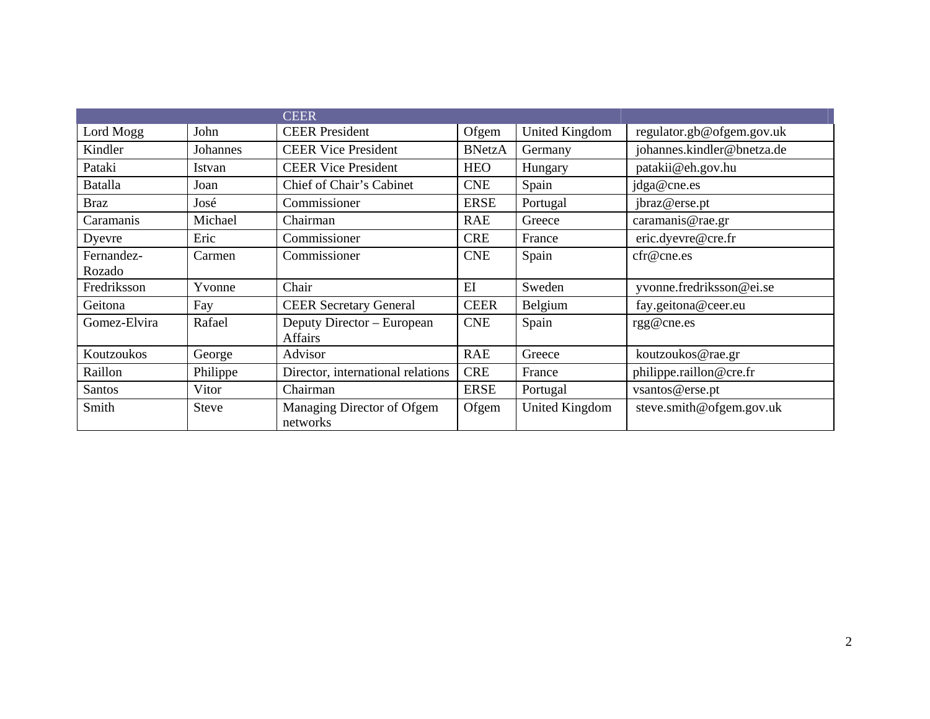|                      |              | <b>CEER</b>                                  |               |                       |                            |
|----------------------|--------------|----------------------------------------------|---------------|-----------------------|----------------------------|
| Lord Mogg            | John         | <b>CEER President</b>                        | Ofgem         | United Kingdom        | regulator.gb@ofgem.gov.uk  |
| Kindler              | Johannes     | <b>CEER Vice President</b>                   | <b>BNetzA</b> | Germany               | johannes.kindler@bnetza.de |
| Pataki               | Istvan       | <b>CEER Vice President</b>                   | <b>HEO</b>    | Hungary               | patakii@eh.gov.hu          |
| Batalla              | Joan         | Chief of Chair's Cabinet                     | <b>CNE</b>    | Spain                 | jdga@cne.es                |
| <b>Braz</b>          | José         | Commissioner                                 | <b>ERSE</b>   | Portugal              | jbraz@erse.pt              |
| Caramanis            | Michael      | Chairman                                     | <b>RAE</b>    | Greece                | caramanis@rae.gr           |
| Dyevre               | Eric         | Commissioner                                 | <b>CRE</b>    | France                | eric.dyevre@cre.fr         |
| Fernandez-<br>Rozado | Carmen       | Commissioner                                 | <b>CNE</b>    | Spain                 | cfr@cne.es                 |
| Fredriksson          | Yvonne       | Chair                                        | EI            | Sweden                | yvonne.fredriksson@ei.se   |
| Geitona              | Fay          | <b>CEER Secretary General</b>                | <b>CEER</b>   | Belgium               | fay.geitona@ceer.eu        |
| Gomez-Elvira         | Rafael       | Deputy Director – European<br><b>Affairs</b> | <b>CNE</b>    | Spain                 | rgg@cne.es                 |
| Koutzoukos           | George       | Advisor                                      | <b>RAE</b>    | Greece                | koutzoukos@rae.gr          |
| Raillon              | Philippe     | Director, international relations            | <b>CRE</b>    | France                | philippe.raillon@cre.fr    |
| Santos               | Vitor        | Chairman                                     | <b>ERSE</b>   | Portugal              | vsantos@erse.pt            |
| Smith                | <b>Steve</b> | Managing Director of Ofgem<br>networks       | Ofgem         | <b>United Kingdom</b> | steve.smith@ofgem.gov.uk   |